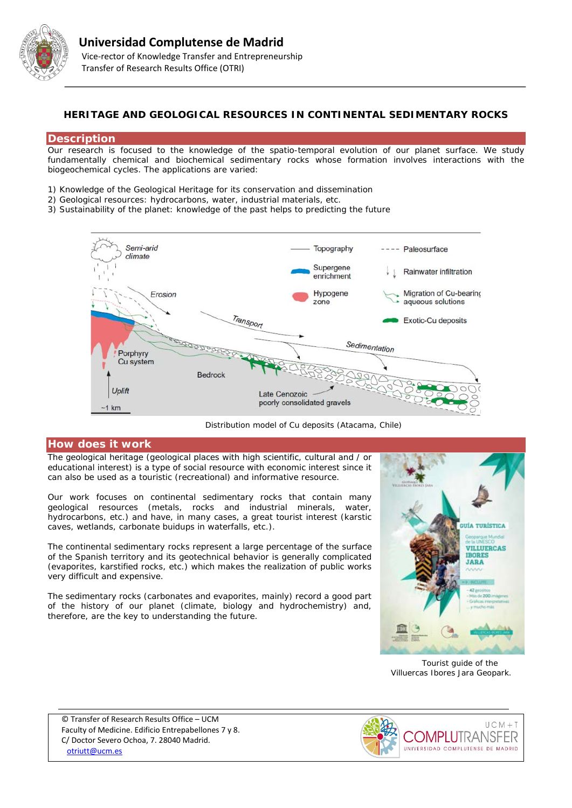

## **HERITAGE AND GEOLOGICAL RESOURCES IN CONTINENTAL SEDIMENTARY ROCKS**

### **Description**

Our research is focused to the knowledge of the spatio-temporal evolution of our planet surface. We study fundamentally chemical and biochemical sedimentary rocks whose formation involves interactions with the biogeochemical cycles. The applications are varied:

- 1) Knowledge of the Geological Heritage for its conservation and dissemination
- 2) Geological resources: hydrocarbons, water, industrial materials, etc.
- 3) Sustainability of the planet: knowledge of the past helps to predicting the future



*Distribution model of Cu deposits (Atacama, Chile)*

### **How does it work**

The geological heritage (geological places with high scientific, cultural and / or educational interest) is a type of social resource with economic interest since it can also be used as a touristic (recreational) and informative resource.

Our work focuses on continental sedimentary rocks that contain many geological resources (metals, rocks and industrial minerals, water, hydrocarbons, etc.) and have, in many cases, a great tourist interest (karstic caves, wetlands, carbonate buidups in waterfalls, etc.).

The continental sedimentary rocks represent a large percentage of the surface of the Spanish territory and its geotechnical behavior is generally complicated (evaporites, karstified rocks, etc.) which makes the realization of public works very difficult and expensive.

The sedimentary rocks (carbonates and evaporites, mainly) record a good part of the history of our planet (climate, biology and hydrochemistry) and, therefore, are the key to understanding the future.



*Tourist guide of the Villuercas Ibores Jara Geopark.*

© Transfer of Research Results Office – UCM Faculty of Medicine. Edificio Entrepabellones 7 y 8. C/ Doctor Severo Ochoa, 7. 28040 Madrid. [otriutt@ucm.es](mailto:otriutt@ucm.es;mesanz@ucm.es?subject=HERITAGE%20AND%20GEOLOGICAL%20RESOURCES%20IN%20CONTINENTAL%20SEDIMENTARY%20ROCKS)